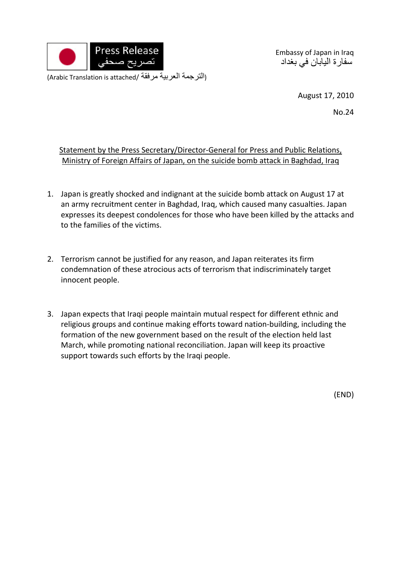

Embassy of Japan in Iraq سفارة اليابان في بغداد

(Arabic Translation is attached/ مرفقة العربية الترجمة(

August 17, 2010

No.24

## Statement by the Press Secretary/Director-General for Press and Public Relations, Ministry of Foreign Affairs of Japan, on the suicide bomb attack in Baghdad, Iraq

- 1. Japan is greatly shocked and indignant at the suicide bomb attack on August 17 at an army recruitment center in Baghdad, Iraq, which caused many casualties. Japan expresses its deepest condolences for those who have been killed by the attacks and to the families of the victims.
- 2. Terrorism cannot be justified for any reason, and Japan reiterates its firm condemnation of these atrocious acts of terrorism that indiscriminately target innocent people.
- 3. Japan expects that Iraqi people maintain mutual respect for different ethnic and religious groups and continue making efforts toward nation‐building, including the formation of the new government based on the result of the election held last March, while promoting national reconciliation. Japan will keep its proactive support towards such efforts by the Iraqi people.

(END)